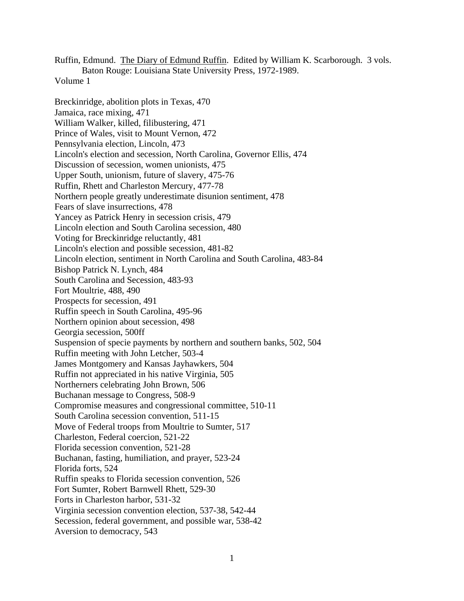Ruffin, Edmund. The Diary of Edmund Ruffin. Edited by William K. Scarborough. 3 vols. Baton Rouge: Louisiana State University Press, 1972-1989. Volume 1 Breckinridge, abolition plots in Texas, 470 Jamaica, race mixing, 471 William Walker, killed, filibustering, 471 Prince of Wales, visit to Mount Vernon, 472 Pennsylvania election, Lincoln, 473 Lincoln's election and secession, North Carolina, Governor Ellis, 474 Discussion of secession, women unionists, 475 Upper South, unionism, future of slavery, 475-76 Ruffin, Rhett and Charleston Mercury, 477-78 Northern people greatly underestimate disunion sentiment, 478 Fears of slave insurrections, 478 Yancey as Patrick Henry in secession crisis, 479 Lincoln election and South Carolina secession, 480 Voting for Breckinridge reluctantly, 481 Lincoln's election and possible secession, 481-82 Lincoln election, sentiment in North Carolina and South Carolina, 483-84 Bishop Patrick N. Lynch, 484 South Carolina and Secession, 483-93 Fort Moultrie, 488, 490 Prospects for secession, 491 Ruffin speech in South Carolina, 495-96 Northern opinion about secession, 498 Georgia secession, 500ff Suspension of specie payments by northern and southern banks, 502, 504 Ruffin meeting with John Letcher, 503-4 James Montgomery and Kansas Jayhawkers, 504 Ruffin not appreciated in his native Virginia, 505 Northerners celebrating John Brown, 506 Buchanan message to Congress, 508-9 Compromise measures and congressional committee, 510-11 South Carolina secession convention, 511-15 Move of Federal troops from Moultrie to Sumter, 517 Charleston, Federal coercion, 521-22 Florida secession convention, 521-28 Buchanan, fasting, humiliation, and prayer, 523-24 Florida forts, 524 Ruffin speaks to Florida secession convention, 526 Fort Sumter, Robert Barnwell Rhett, 529-30 Forts in Charleston harbor, 531-32 Virginia secession convention election, 537-38, 542-44 Secession, federal government, and possible war, 538-42 Aversion to democracy, 543